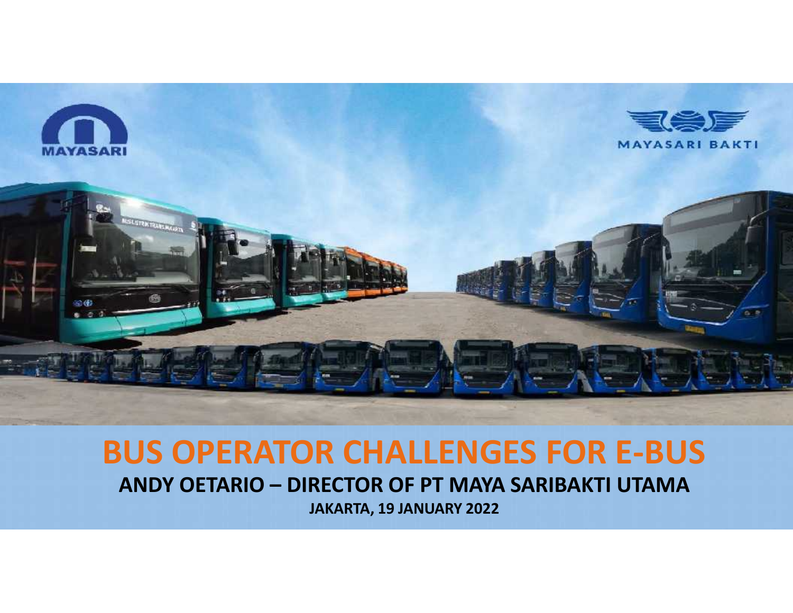

# **BUS OPERATOR CHALLENGES FOR E-BUS ANDY OETARIO – DIRECTOR OF PT MAYA SARIBAKTI UTAMA**

**JAKARTA, 19 JANUARY 2022**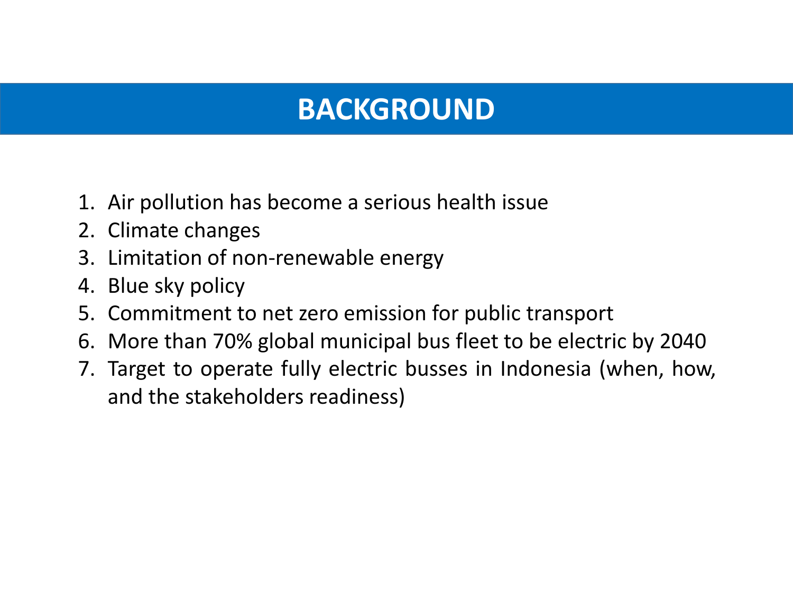### **BACKGROUND**

- 1. Air pollution has become a serious health issue
- 2. Climate changes
- 3. Limitation of non-renewable energy
- 4. Blue sky policy
- 5. Commitment to net zero emission for public transport
- 6. More than 70% global municipal bus fleet to be electric by 2040
- 7. Target to operate fully electric busses in Indonesia (when, how, and the stakeholders readiness)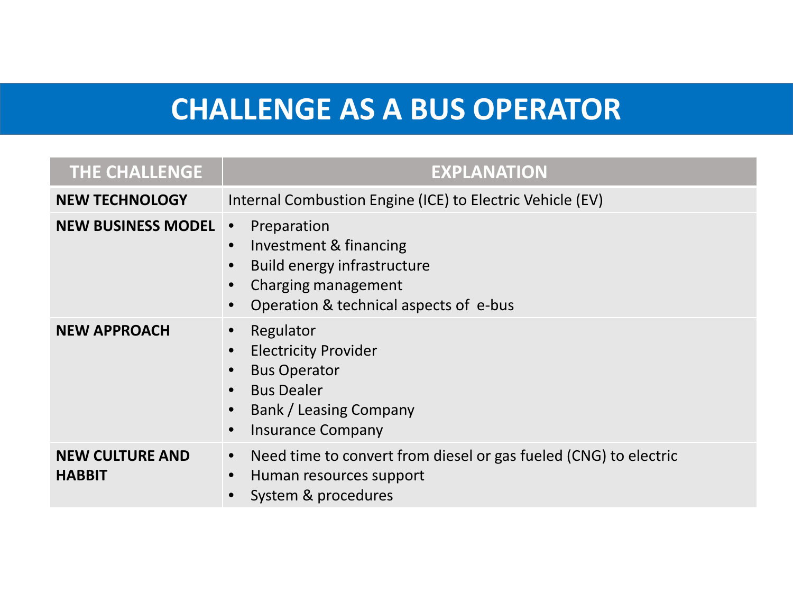## **CHALLENGE AS A BUS OPERATOR**

| THE CHALLENGE                           | <b>EXPLANATION</b>                                                                                                                                                                |  |
|-----------------------------------------|-----------------------------------------------------------------------------------------------------------------------------------------------------------------------------------|--|
| <b>NEW TECHNOLOGY</b>                   | Internal Combustion Engine (ICE) to Electric Vehicle (EV)                                                                                                                         |  |
| <b>NEW BUSINESS MODEL</b>               | Preparation<br>$\bullet$<br>Investment & financing<br>$\bullet$<br>Build energy infrastructure<br>$\bullet$<br>Charging management<br>Operation & technical aspects of e-bus      |  |
| <b>NEW APPROACH</b>                     | Regulator<br>$\bullet$<br><b>Electricity Provider</b><br><b>Bus Operator</b><br><b>Bus Dealer</b><br>$\bullet$<br>Bank / Leasing Company<br><b>Insurance Company</b><br>$\bullet$ |  |
| <b>NEW CULTURE AND</b><br><b>HABBIT</b> | Need time to convert from diesel or gas fueled (CNG) to electric<br>$\bullet$<br>Human resources support<br>System & procedures                                                   |  |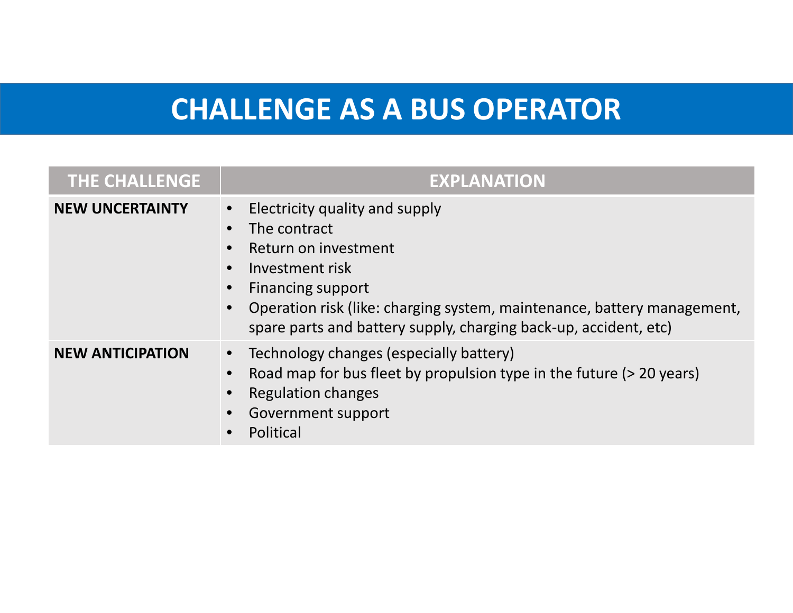### **CHALLENGE AS A BUS OPERATOR**

| <b>THE CHALLENGE</b>    | <b>EXPLANATION</b>                                                                                                                                                                                                                                                                |
|-------------------------|-----------------------------------------------------------------------------------------------------------------------------------------------------------------------------------------------------------------------------------------------------------------------------------|
| <b>NEW UNCERTAINTY</b>  | Electricity quality and supply<br>$\bullet$<br>The contract<br>Return on investment<br>Investment risk<br><b>Financing support</b><br>Operation risk (like: charging system, maintenance, battery management,<br>spare parts and battery supply, charging back-up, accident, etc) |
| <b>NEW ANTICIPATION</b> | Technology changes (especially battery)<br>$\bullet$<br>Road map for bus fleet by propulsion type in the future (> 20 years)<br><b>Regulation changes</b><br>Government support<br>Political                                                                                      |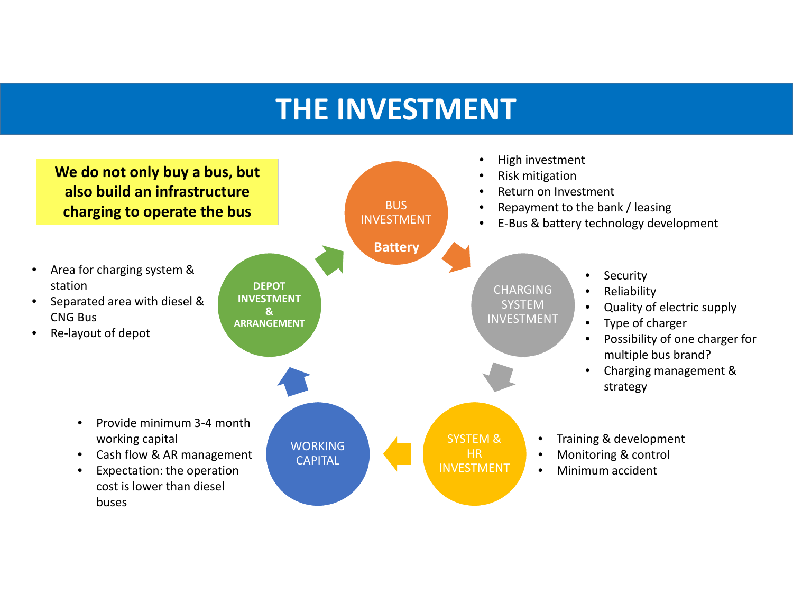#### **THE INVESTMENT**

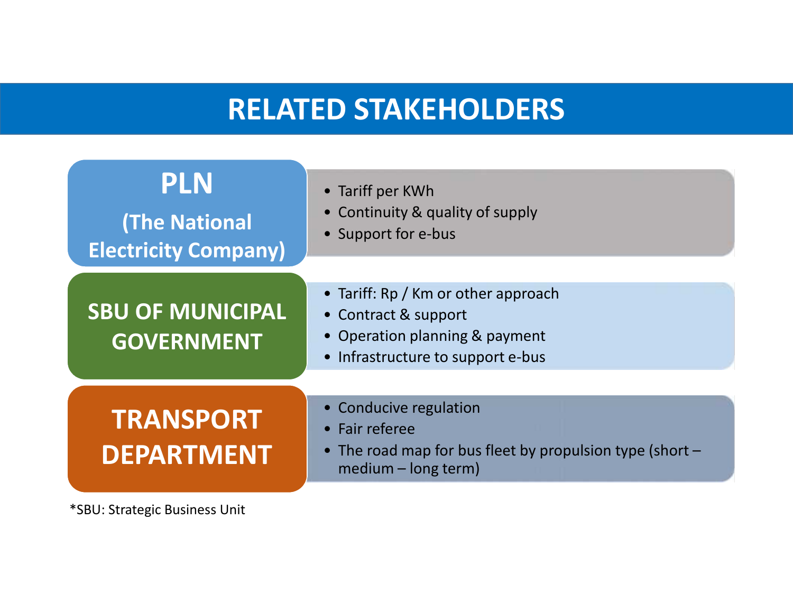#### **RELATED STAKEHOLDERS**



\*SBU: Strategic Business Unit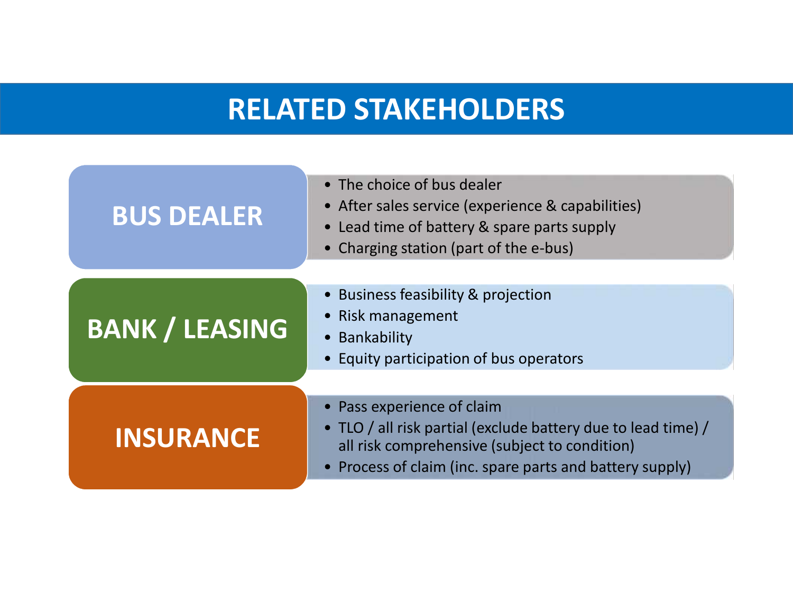#### **RELATED STAKEHOLDERS**

| <b>BUS DEALER</b>     | • The choice of bus dealer<br>• After sales service (experience & capabilities)<br>• Lead time of battery & spare parts supply<br>• Charging station (part of the e-bus)                                 |
|-----------------------|----------------------------------------------------------------------------------------------------------------------------------------------------------------------------------------------------------|
| <b>BANK / LEASING</b> | • Business feasibility & projection<br>• Risk management<br>• Bankability<br>• Equity participation of bus operators                                                                                     |
| <b>INSURANCE</b>      | • Pass experience of claim<br>• TLO / all risk partial (exclude battery due to lead time) /<br>all risk comprehensive (subject to condition)<br>• Process of claim (inc. spare parts and battery supply) |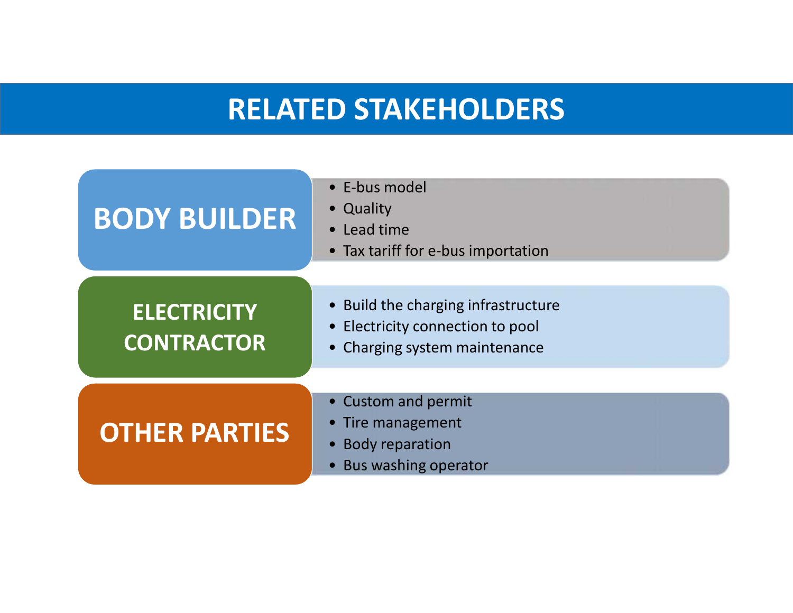#### **RELATED STAKEHOLDERS**

| <b>BODY BUILDER</b>                     | • E-bus model<br>• Quality<br>• Lead time<br>• Tax tariff for e-bus importation                          |
|-----------------------------------------|----------------------------------------------------------------------------------------------------------|
| <b>ELECTRICITY</b><br><b>CONTRACTOR</b> | • Build the charging infrastructure<br>• Electricity connection to pool<br>• Charging system maintenance |
| <b>OTHER PARTIES</b>                    | • Custom and permit<br>• Tire management<br>• Body reparation<br>• Bus washing operator                  |